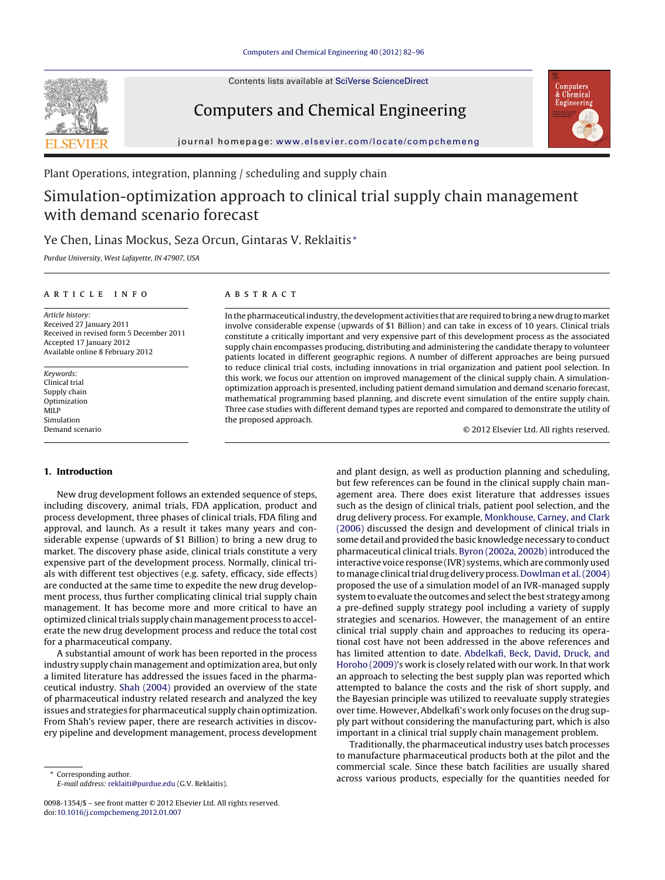Contents lists available at SciVerse [ScienceDirect](http://www.sciencedirect.com/science/journal/00981354)



Computers and Chemical Engineering



jour nal homepage: [www.elsevier.com/locate/compchemeng](http://www.elsevier.com/locate/compchemeng)

Plant Operations, integration, planning / scheduling and supply chain

## Simulation-optimization approach to clinical trial supply chain management with demand scenario forecast

### Ye Chen, Linas Mockus, Seza Orcun, Gintaras V. Reklaitis <sup>∗</sup>

Purdue University, West Lafayette, IN 47907, USA

#### a r t i c l e i n f o

Article history: Received 27 January 2011 Received in revised form 5 December 2011 Accepted 17 January 2012 Available online 8 February 2012

Keywords: Clinical trial Supply chain Optimization MILP Simulation Demand scenario

#### A B S T R A C T

In the pharmaceutical industry, the development activities that are required to bring a new drug to market involve considerable expense (upwards of \$1 Billion) and can take in excess of 10 years. Clinical trials constitute a critically important and very expensive part of this development process as the associated supply chain encompasses producing, distributing and administering the candidate therapy to volunteer patients located in different geographic regions. A number of different approaches are being pursued to reduce clinical trial costs, including innovations in trial organization and patient pool selection. In this work, we focus our attention on improved management of the clinical supply chain. A simulationoptimization approach is presented, including patient demand simulation and demand scenario forecast, mathematical programming based planning, and discrete event simulation of the entire supply chain. Three case studies with different demand types are reported and compared to demonstrate the utility of the proposed approach.

© 2012 Elsevier Ltd. All rights reserved.

#### **1. Introduction**

New drug development follows an extended sequence of steps, including discovery, animal trials, FDA application, product and process development, three phases of clinical trials, FDA filing and approval, and launch. As a result it takes many years and considerable expense (upwards of \$1 Billion) to bring a new drug to market. The discovery phase aside, clinical trials constitute a very expensive part of the development process. Normally, clinical trials with different test objectives (e.g. safety, efficacy, side effects) are conducted at the same time to expedite the new drug development process, thus further complicating clinical trial supply chain management. It has become more and more critical to have an optimized clinical trials supply chain management process to accelerate the new drug development process and reduce the total cost for a pharmaceutical company.

A substantial amount of work has been reported in the process industry supply chain management and optimization area, but only a limited literature has addressed the issues faced in the pharmaceutical industry. [Shah](#page--1-0) [\(2004\)](#page--1-0) provided an overview of the state of pharmaceutical industry related research and analyzed the key issues and strategies for pharmaceutical supply chain optimization. From Shah's review paper, there are research activities in discovery pipeline and development management, process development

∗ Corresponding author. E-mail address: [reklaiti@purdue.edu](mailto:reklaiti@purdue.edu) (G.V. Reklaitis). and plant design, as well as production planning and scheduling, but few references can be found in the clinical supply chain management area. There does exist literature that addresses issues such as the design of clinical trials, patient pool selection, and the drug delivery process. For example, [Monkhouse,](#page--1-0) [Carney,](#page--1-0) [and](#page--1-0) [Clark](#page--1-0) [\(2006\)](#page--1-0) discussed the design and development of clinical trials in some detail and provided the basic knowledge necessary to conduct pharmaceutical clinical trials. [Byron](#page--1-0) [\(2002a,](#page--1-0) [2002b\)](#page--1-0) introduced the interactive voice response (IVR) systems, which are commonly used to manage clinical trial drug delivery process. Dowlman et al. (2004) proposed the use of a simulation model of an IVR-managed supply system to evaluate the outcomes and select the best strategy among a pre-defined supply strategy pool including a variety of supply strategies and scenarios. However, the management of an entire clinical trial supply chain and approaches to reducing its operational cost have not been addressed in the above references and has limited attention to date. [Abdelkafi,](#page--1-0) [Beck,](#page--1-0) [David,](#page--1-0) [Druck,](#page--1-0) [and](#page--1-0) [Horoho](#page--1-0) [\(2009\)'s](#page--1-0) work is closely related with our work. In that work an approach to selecting the best supply plan was reported which attempted to balance the costs and the risk of short supply, and the Bayesian principle was utilized to reevaluate supply strategies over time. However, Abdelkafi's work only focuses on the drug supply part without considering the manufacturing part, which is also important in a clinical trial supply chain management problem.

Traditionally, the pharmaceutical industry uses batch processes to manufacture pharmaceutical products both at the pilot and the commercial scale. Since these batch facilities are usually shared across various products, especially for the quantities needed for

<sup>0098-1354/\$</sup> – see front matter © 2012 Elsevier Ltd. All rights reserved. doi:[10.1016/j.compchemeng.2012.01.007](dx.doi.org/10.1016/j.compchemeng.2012.01.007)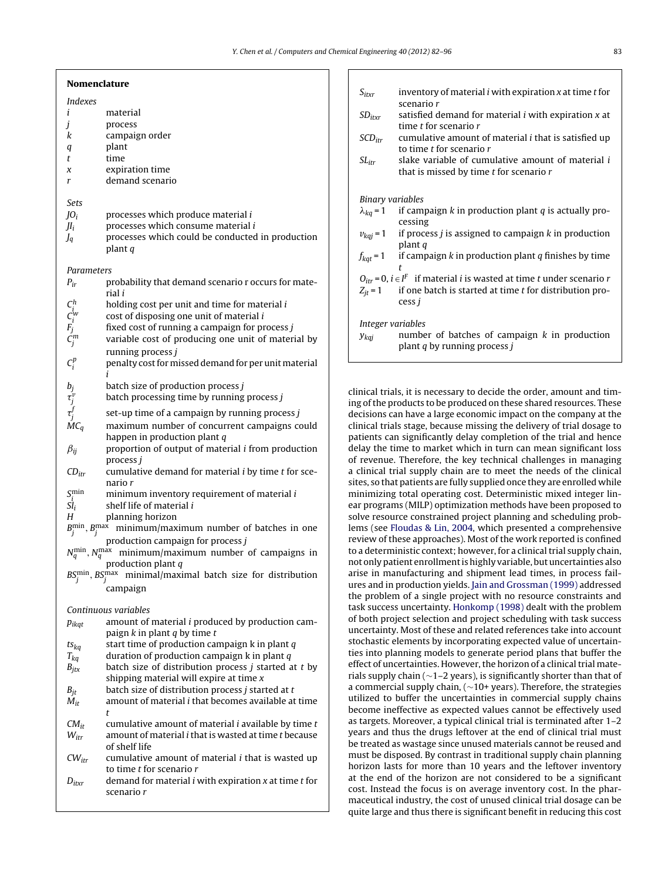#### **Nomenclature**

#### Indexes

- i material
- j process
- k campaign order
- q plant
- $t$  time
- x expiration time
- r demand scenario

Sets

- $JO_i$  processes which produce material i
- $JI_i$  processes which consume material  $i$
- $J_q$  processes which could be conducted in production plant q

Parameters

- $P_{ir}$  probability that demand scenario r occurs for material i
- $C_i^h$ holding cost per unit and time for material  $i$
- $C_i^w$ cost of disposing one unit of material i
- fixed cost of running a campaign for process  $j$
- $\epsilon_{i}^{m}$ variable cost of producing one unit of material by running process j
- $C_i^p$ penalty cost for missed demand for per unit material i
- $b_j$  batch size of production process j
- $\tilde{\tau_i^v}$ batch processing time by running process  $j$
- $\tau_i^f$
- $\tau_j^l$  set-up time of a campaign by running process j<br> $MC_a$  maximum number of concurrent campaigns co maximum number of concurrent campaigns could happen in production plant q
- $\beta_{ij}$  proportion of output of material *i* from production process j
- $CD_{itr}$  cumulative demand for material *i* by time *t* for scenario r
- Smin  $S_i^{\text{min}}$  minimum inventory requirement of material *i*  $S_l$  shelf life of material *i*
- shelf life of material  $i$
- H planning horizon
- $B_j^{\text{min}}, B_j^{\text{max}}$  minimum/maximum number of batches in one production campaign for process j
- $N_q^{\text{min}}$ ,  $N_q^{\text{max}}$  minimum/maximum number of campaigns in production plant q
- $BS_j^{\text{min}}, BS_j^{\text{max}}$  minimal/maximal batch size for distribution campaign

Continuous variables

- $p_{ikqt}$  amount of material *i* produced by production campaign  $k$  in plant  $q$  by time  $t$  $ts_{kq}$  start time of production campaign k in plant q  $T_{kq}$  duration of production campaign k in plant q<br> $B_{itx}$  batch size of distribution process j started a batch size of distribution process  $j$  started at  $t$  by shipping material will expire at time  $x$  $B_{jt}$  batch size of distribution process *j* started at *t*  $M_{it}$  amount of material *i* that becomes available at amount of material  $i$  that becomes available at time t  $CM_{it}$  cumulative amount of material *i* available by time *t*  $W_{itr}$  amount of material *i* that is wasted at time *t* because of shelf life  $CW_{itr}$  cumulative amount of material *i* that is wasted up to time  $t$  for scenario  $r$  $D_{itxr}$  demand for material *i* with expiration *x* at time *t* for
- scenario r

| $S_{itxr}$                                                                                         | inventory of material $i$ with expiration $x$ at time $t$ for<br>scenario r                                      |
|----------------------------------------------------------------------------------------------------|------------------------------------------------------------------------------------------------------------------|
| $SD_{itxr}$                                                                                        | satisfied demand for material <i>i</i> with expiration x at                                                      |
| $SCD_{itr}$                                                                                        | time t for scenario r<br>cumulative amount of material <i>i</i> that is satisfied up<br>to time t for scenario r |
| $SL_{itr}$                                                                                         | slake variable of cumulative amount of material i<br>that is missed by time t for scenario r                     |
| Binary variables                                                                                   |                                                                                                                  |
| $\lambda_{ka} = 1$                                                                                 | if campaign $k$ in production plant $q$ is actually pro-<br>cessing                                              |
| $v_{kqi} = 1$                                                                                      | if process $j$ is assigned to campaign $k$ in production<br>plant $q$                                            |
| $f_{kqt} = 1$                                                                                      | if campaign $k$ in production plant $q$ finishes by time<br>t                                                    |
| $Q_{itr} = 0$ , $i \in IF$ if material <i>i</i> is wasted at time <i>t</i> under scenario <i>r</i> |                                                                                                                  |
| $Z_{it} = 1$                                                                                       | if one batch is started at time t for distribution pro-<br>cess <i>i</i>                                         |
| Integer variables                                                                                  |                                                                                                                  |
| $y_{kqi}$                                                                                          | number of batches of campaign $k$ in production<br>plant $q$ by running process $j$                              |

clinical trials, it is necessary to decide the order, amount and timing ofthe products to be produced on these shared resources. These decisions can have a large economic impact on the company at the clinical trials stage, because missing the delivery of trial dosage to patients can significantly delay completion of the trial and hence delay the time to market which in turn can mean significant loss of revenue. Therefore, the key technical challenges in managing a clinical trial supply chain are to meet the needs of the clinical sites, so that patients are fully supplied once they are enrolled while minimizing total operating cost. Deterministic mixed integer linear programs (MILP) optimization methods have been proposed to solve resource constrained project planning and scheduling problems (see [Floudas](#page--1-0) [&](#page--1-0) [Lin,](#page--1-0) [2004,](#page--1-0) which presented a comprehensive review of these approaches). Most of the work reported is confined to a deterministic context; however, for a clinical trial supply chain, not only patient enrollment is highly variable, but uncertainties also arise in manufacturing and shipment lead times, in process failures and in production yields. [Jain](#page--1-0) [and](#page--1-0) [Grossman](#page--1-0) [\(1999\)](#page--1-0) addressed the problem of a single project with no resource constraints and task success uncertainty. [Honkomp](#page--1-0) [\(1998\)](#page--1-0) dealt with the problem of both project selection and project scheduling with task success uncertainty. Most of these and related references take into account stochastic elements by incorporating expected value of uncertainties into planning models to generate period plans that buffer the effect of uncertainties. However, the horizon of a clinical trial materials supply chain (∼1–2 years), is significantly shorter than that of a commercial supply chain, (∼10+ years). Therefore, the strategies utilized to buffer the uncertainties in commercial supply chains become ineffective as expected values cannot be effectively used as targets. Moreover, a typical clinical trial is terminated after 1–2 years and thus the drugs leftover at the end of clinical trial must be treated as wastage since unused materials cannot be reused and must be disposed. By contrast in traditional supply chain planning horizon lasts for more than 10 years and the leftover inventory at the end of the horizon are not considered to be a significant cost. Instead the focus is on average inventory cost. In the pharmaceutical industry, the cost of unused clinical trial dosage can be quite large and thus there is significant benefit in reducing this cost